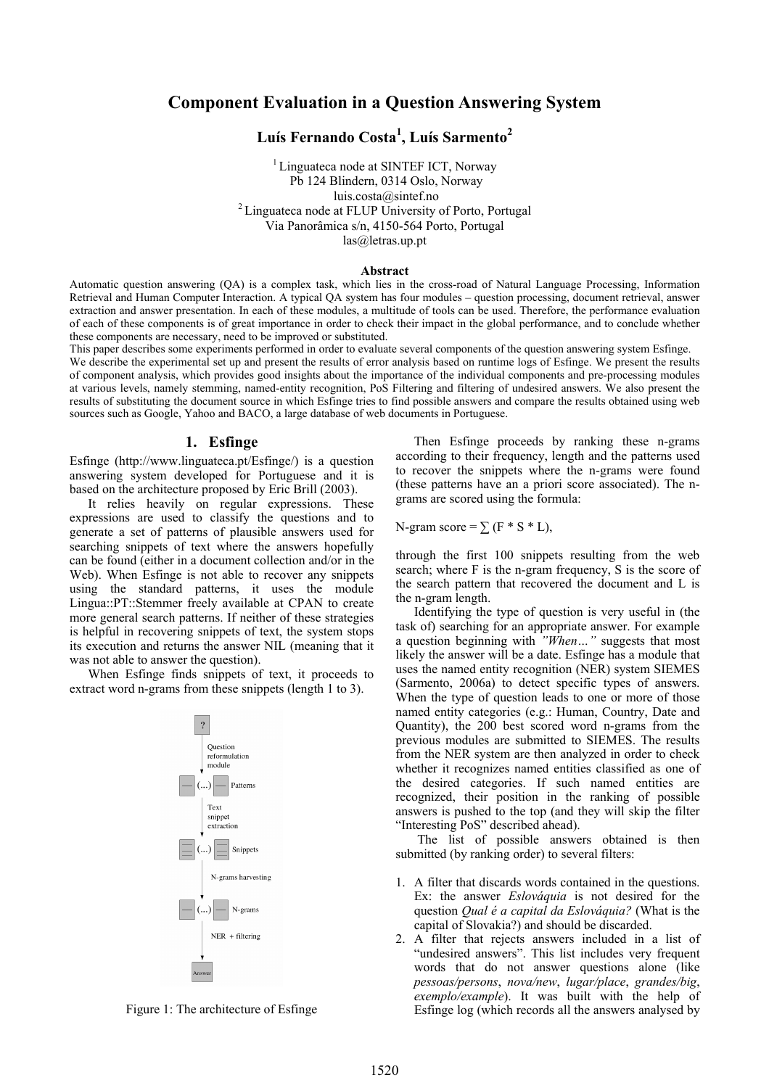# **Component Evaluation in a Question Answering System**

# **Luís Fernando Costa<sup>1</sup> , Luís Sarmento2**

<sup>1</sup> Linguateca node at SINTEF ICT, Norway Pb 124 Blindern, 0314 Oslo, Norway luis.costa@sintef.no<br><sup>2</sup> Linguateca node at FLUP University of Porto, Portugal Via Panorâmica s/n, 4150-564 Porto, Portugal las@letras.up.pt

#### **Abstract**

Automatic question answering (QA) is a complex task, which lies in the cross-road of Natural Language Processing, Information Retrieval and Human Computer Interaction. A typical QA system has four modules – question processing, document retrieval, answer extraction and answer presentation. In each of these modules, a multitude of tools can be used. Therefore, the performance evaluation of each of these components is of great importance in order to check their impact in the global performance, and to conclude whether these components are necessary, need to be improved or substituted.

This paper describes some experiments performed in order to evaluate several components of the question answering system Esfinge. We describe the experimental set up and present the results of error analysis based on runtime logs of Esfinge. We present the results of component analysis, which provides good insights about the importance of the individual components and pre-processing modules at various levels, namely stemming, named-entity recognition, PoS Filtering and filtering of undesired answers. We also present the results of substituting the document source in which Esfinge tries to find possible answers and compare the results obtained using web sources such as Google, Yahoo and BACO, a large database of web documents in Portuguese.

#### **1. Esfinge**

Esfinge (http://www.linguateca.pt/Esfinge/) is a question answering system developed for Portuguese and it is based on the architecture proposed by Eric Brill (2003).

It relies heavily on regular expressions. These expressions are used to classify the questions and to generate a set of patterns of plausible answers used for searching snippets of text where the answers hopefully can be found (either in a document collection and/or in the Web). When Esfinge is not able to recover any snippets using the standard patterns, it uses the module Lingua::PT::Stemmer freely available at CPAN to create more general search patterns. If neither of these strategies is helpful in recovering snippets of text, the system stops its execution and returns the answer NIL (meaning that it was not able to answer the question).

When Esfinge finds snippets of text, it proceeds to extract word n-grams from these snippets (length 1 to 3).



Figure 1: The architecture of Esfinge

Then Esfinge proceeds by ranking these n-grams according to their frequency, length and the patterns used to recover the snippets where the n-grams were found (these patterns have an a priori score associated). The ngrams are scored using the formula:

N-gram score =  $\Sigma$  (F \* S \* L),

through the first 100 snippets resulting from the web search; where F is the n-gram frequency, S is the score of the search pattern that recovered the document and L is the n-gram length.

Identifying the type of question is very useful in (the task of) searching for an appropriate answer. For example a question beginning with *"When…"* suggests that most likely the answer will be a date. Esfinge has a module that uses the named entity recognition (NER) system SIEMES (Sarmento, 2006a) to detect specific types of answers. When the type of question leads to one or more of those named entity categories (e.g.: Human, Country, Date and Quantity), the 200 best scored word n-grams from the previous modules are submitted to SIEMES. The results from the NER system are then analyzed in order to check whether it recognizes named entities classified as one of the desired categories. If such named entities are recognized, their position in the ranking of possible answers is pushed to the top (and they will skip the filter "Interesting PoS" described ahead).

 The list of possible answers obtained is then submitted (by ranking order) to several filters:

- 1. A filter that discards words contained in the questions. Ex: the answer *Eslováquia* is not desired for the question *Qual é a capital da Eslováquia?* (What is the capital of Slovakia?) and should be discarded.
- 2. A filter that rejects answers included in a list of "undesired answers". This list includes very frequent words that do not answer questions alone (like *pessoas/persons*, *nova/new*, *lugar/place*, *grandes/big*, *exemplo/example*). It was built with the help of Esfinge log (which records all the answers analysed by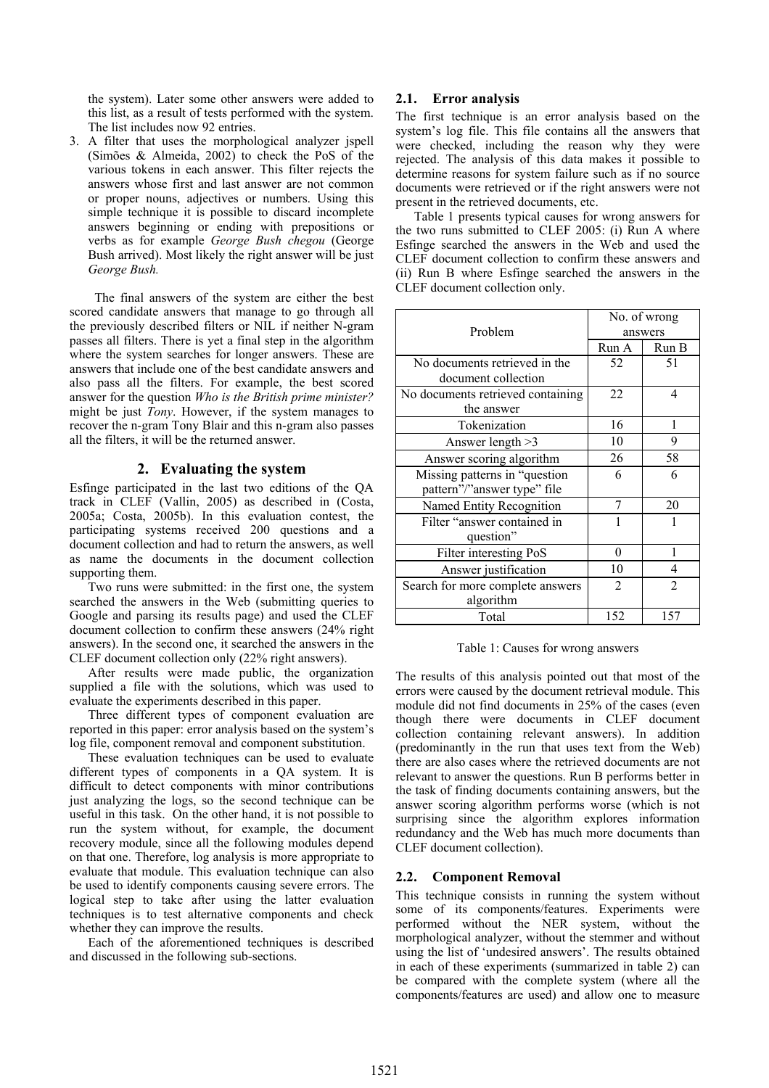the system). Later some other answers were added to this list, as a result of tests performed with the system. The list includes now 92 entries.

3. A filter that uses the morphological analyzer jspell (Simões & Almeida, 2002) to check the PoS of the various tokens in each answer. This filter rejects the answers whose first and last answer are not common or proper nouns, adjectives or numbers. Using this simple technique it is possible to discard incomplete answers beginning or ending with prepositions or verbs as for example *George Bush chegou* (George Bush arrived). Most likely the right answer will be just *George Bush.*

 The final answers of the system are either the best scored candidate answers that manage to go through all the previously described filters or NIL if neither N-gram passes all filters. There is yet a final step in the algorithm where the system searches for longer answers. These are answers that include one of the best candidate answers and also pass all the filters. For example, the best scored answer for the question *Who is the British prime minister?* might be just *Tony*. However, if the system manages to recover the n-gram Tony Blair and this n-gram also passes all the filters, it will be the returned answer.

# **2. Evaluating the system**

Esfinge participated in the last two editions of the QA track in CLEF (Vallin, 2005) as described in (Costa, 2005a; Costa, 2005b). In this evaluation contest, the participating systems received 200 questions and a document collection and had to return the answers, as well as name the documents in the document collection supporting them.

Two runs were submitted: in the first one, the system searched the answers in the Web (submitting queries to Google and parsing its results page) and used the CLEF document collection to confirm these answers (24% right answers). In the second one, it searched the answers in the CLEF document collection only (22% right answers).

After results were made public, the organization supplied a file with the solutions, which was used to evaluate the experiments described in this paper.

Three different types of component evaluation are reported in this paper: error analysis based on the system's log file, component removal and component substitution.

These evaluation techniques can be used to evaluate different types of components in a QA system. It is difficult to detect components with minor contributions just analyzing the logs, so the second technique can be useful in this task. On the other hand, it is not possible to run the system without, for example, the document recovery module, since all the following modules depend on that one. Therefore, log analysis is more appropriate to evaluate that module. This evaluation technique can also be used to identify components causing severe errors. The logical step to take after using the latter evaluation techniques is to test alternative components and check whether they can improve the results.

Each of the aforementioned techniques is described and discussed in the following sub-sections.

# **2.1. Error analysis**

The first technique is an error analysis based on the system's log file. This file contains all the answers that were checked, including the reason why they were rejected. The analysis of this data makes it possible to determine reasons for system failure such as if no source documents were retrieved or if the right answers were not present in the retrieved documents, etc.

Table 1 presents typical causes for wrong answers for the two runs submitted to CLEF 2005: (i) Run A where Esfinge searched the answers in the Web and used the CLEF document collection to confirm these answers and (ii) Run B where Esfinge searched the answers in the CLEF document collection only.

| Problem                                                      | No. of wrong<br>answers |                |  |
|--------------------------------------------------------------|-------------------------|----------------|--|
|                                                              | Run A                   | Run B          |  |
| No documents retrieved in the<br>document collection         | 52                      | 51             |  |
| No documents retrieved containing<br>the answer              | 22                      | 4              |  |
| Tokenization                                                 | 16                      | 1              |  |
| Answer length > 3                                            | 10                      | 9              |  |
| Answer scoring algorithm                                     | 26                      | 58             |  |
| Missing patterns in "question<br>pattern"/"answer type" file | 6                       | 6              |  |
| Named Entity Recognition                                     | 7                       | 20             |  |
| Filter "answer contained in<br>question"                     |                         |                |  |
| Filter interesting PoS                                       | $\theta$                | 1              |  |
| Answer justification                                         | 10                      | 4              |  |
| Search for more complete answers<br>algorithm                | $\overline{2}$          | $\overline{2}$ |  |
| Total                                                        | 152                     | 157            |  |

Table 1: Causes for wrong answers

The results of this analysis pointed out that most of the errors were caused by the document retrieval module. This module did not find documents in 25% of the cases (even though there were documents in CLEF document collection containing relevant answers). In addition (predominantly in the run that uses text from the Web) there are also cases where the retrieved documents are not relevant to answer the questions. Run B performs better in the task of finding documents containing answers, but the answer scoring algorithm performs worse (which is not surprising since the algorithm explores information redundancy and the Web has much more documents than CLEF document collection).

# **2.2. Component Removal**

This technique consists in running the system without some of its components/features. Experiments were performed without the NER system, without the morphological analyzer, without the stemmer and without using the list of 'undesired answers'. The results obtained in each of these experiments (summarized in table 2) can be compared with the complete system (where all the components/features are used) and allow one to measure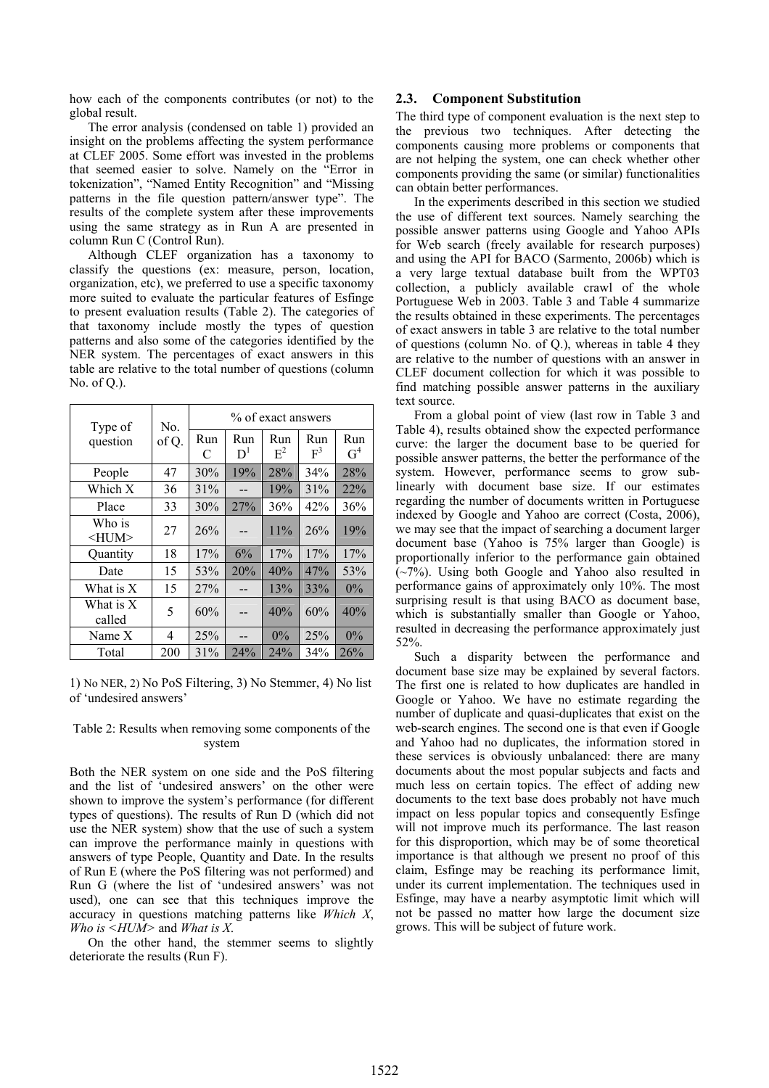how each of the components contributes (or not) to the global result.

The error analysis (condensed on table 1) provided an insight on the problems affecting the system performance at CLEF 2005. Some effort was invested in the problems that seemed easier to solve. Namely on the "Error in tokenization", "Named Entity Recognition" and "Missing patterns in the file question pattern/answer type". The results of the complete system after these improvements using the same strategy as in Run A are presented in column Run C (Control Run).

Although CLEF organization has a taxonomy to classify the questions (ex: measure, person, location, organization, etc), we preferred to use a specific taxonomy more suited to evaluate the particular features of Esfinge to present evaluation results (Table 2). The categories of that taxonomy include mostly the types of question patterns and also some of the categories identified by the NER system. The percentages of exact answers in this table are relative to the total number of questions (column No. of Q.).

| Type of               | No.   | % of exact answers |              |              |              |                       |
|-----------------------|-------|--------------------|--------------|--------------|--------------|-----------------------|
| question              | of Q. | Run<br>C           | Run<br>$D^1$ | Run<br>$E^2$ | Run<br>$F^3$ | Run<br>G <sup>4</sup> |
| People                | 47    | 30%                | 19%          | 28%          | 34%          | 28%                   |
| Which X               | 36    | 31%                |              | 19%          | 31%          | 22%                   |
| Place                 | 33    | 30%                | 27%          | 36%          | 42%          | 36%                   |
| Who is<br>$<$ HUM $>$ | 27    | 26%                |              | 11%          | 26%          | 19%                   |
| Quantity              | 18    | 17%                | 6%           | 17%          | 17%          | 17%                   |
| Date                  | 15    | 53%                | 20%          | 40%          | 47%          | 53%                   |
| What is X             | 15    | 27%                |              | 13%          | 33%          | 0%                    |
| What is X<br>called   | 5     | 60%                |              | 40%          | 60%          | 40%                   |
| Name X                | 4     | 25%                |              | 0%           | 25%          | 0%                    |
| Total                 | 200   | 31%                | 24%          | 24%          | 34%          | 26%                   |

1) No NER, 2) No PoS Filtering, 3) No Stemmer, 4) No list of 'undesired answers'

## Table 2: Results when removing some components of the system

Both the NER system on one side and the PoS filtering and the list of 'undesired answers' on the other were shown to improve the system's performance (for different types of questions). The results of Run D (which did not use the NER system) show that the use of such a system can improve the performance mainly in questions with answers of type People, Quantity and Date. In the results of Run E (where the PoS filtering was not performed) and Run G (where the list of 'undesired answers' was not used), one can see that this techniques improve the accuracy in questions matching patterns like *Which X*, *Who is <HUM>* and *What is X*.

On the other hand, the stemmer seems to slightly deteriorate the results (Run F).

## **2.3. Component Substitution**

The third type of component evaluation is the next step to the previous two techniques. After detecting the components causing more problems or components that are not helping the system, one can check whether other components providing the same (or similar) functionalities can obtain better performances.

In the experiments described in this section we studied the use of different text sources. Namely searching the possible answer patterns using Google and Yahoo APIs for Web search (freely available for research purposes) and using the API for BACO (Sarmento, 2006b) which is a very large textual database built from the WPT03 collection, a publicly available crawl of the whole Portuguese Web in 2003. Table 3 and Table 4 summarize the results obtained in these experiments. The percentages of exact answers in table 3 are relative to the total number of questions (column No. of Q.), whereas in table 4 they are relative to the number of questions with an answer in CLEF document collection for which it was possible to find matching possible answer patterns in the auxiliary text source.

From a global point of view (last row in Table 3 and Table 4), results obtained show the expected performance curve: the larger the document base to be queried for possible answer patterns, the better the performance of the system. However, performance seems to grow sublinearly with document base size. If our estimates regarding the number of documents written in Portuguese indexed by Google and Yahoo are correct (Costa, 2006), we may see that the impact of searching a document larger document base (Yahoo is 75% larger than Google) is proportionally inferior to the performance gain obtained (~7%). Using both Google and Yahoo also resulted in performance gains of approximately only 10%. The most surprising result is that using BACO as document base, which is substantially smaller than Google or Yahoo, resulted in decreasing the performance approximately just 52%.

Such a disparity between the performance and document base size may be explained by several factors. The first one is related to how duplicates are handled in Google or Yahoo. We have no estimate regarding the number of duplicate and quasi-duplicates that exist on the web-search engines. The second one is that even if Google and Yahoo had no duplicates, the information stored in these services is obviously unbalanced: there are many documents about the most popular subjects and facts and much less on certain topics. The effect of adding new documents to the text base does probably not have much impact on less popular topics and consequently Esfinge will not improve much its performance. The last reason for this disproportion, which may be of some theoretical importance is that although we present no proof of this claim, Esfinge may be reaching its performance limit, under its current implementation. The techniques used in Esfinge, may have a nearby asymptotic limit which will not be passed no matter how large the document size grows. This will be subject of future work.